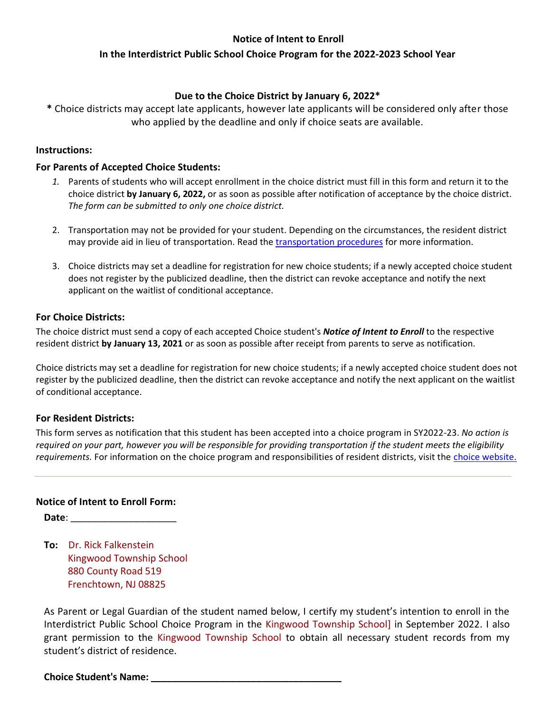# **Notice of Intent to Enroll**

# **In the Interdistrict Public School Choice Program for the 2022-2023 School Year**

# **Due to the Choice District by January 6, 2022\***

**\*** Choice districts may accept late applicants, however late applicants will be considered only after those who applied by the deadline and only if choice seats are available.

### **Instructions:**

### **For Parents of Accepted Choice Students:**

- *1.* Parents of students who will accept enrollment in the choice district must fill in this form and return it to the choice district **by January 6, 2022,** or as soon as possible after notification of acceptance by the choice district. *The form can be submitted to only one choice district.*
- 2. Transportation may not be provided for your student. Depending on the circumstances, the resident district may provide aid in lieu of transportation. Read the [transportation procedures](http://www.state.nj.us/education/finance/transportation/procedures/choice_proc.pdf) for more information.
- 3. Choice districts may set a deadline for registration for new choice students; if a newly accepted choice student does not register by the publicized deadline, then the district can revoke acceptance and notify the next applicant on the waitlist of conditional acceptance.

## **For Choice Districts:**

The choice district must send a copy of each accepted Choice student's *Notice of Intent to Enroll* to the respective resident district **by January 13, 2021** or as soon as possible after receipt from parents to serve as notification.

Choice districts may set a deadline for registration for new choice students; if a newly accepted choice student does not register by the publicized deadline, then the district can revoke acceptance and notify the next applicant on the waitlist of conditional acceptance.

### **For Resident Districts:**

This form serves as notification that this student has been accepted into a choice program in SY2022-23. *No action is required on your part, however you will be responsible for providing transportation if the student meets the eligibility requirements.* For information on the choice program and responsibilities of resident districts, visit the [choice website.](http://www.state.nj.us/education/choice/rdistricts/)

## **Notice of Intent to Enroll Form:**

**Date**:

**To:** Dr. Rick Falkenstein Kingwood Township School 880 County Road 519 Frenchtown, NJ 08825

As Parent or Legal Guardian of the student named below, I certify my student's intention to enroll in the Interdistrict Public School Choice Program in the Kingwood Township School] in September 2022. I also grant permission to the Kingwood Township School to obtain all necessary student records from my student's district of residence.

### **Choice Student's Name: \_\_\_\_\_\_\_\_\_\_\_\_\_\_\_\_\_\_\_\_\_\_\_\_\_\_\_\_\_\_\_\_\_\_\_\_**